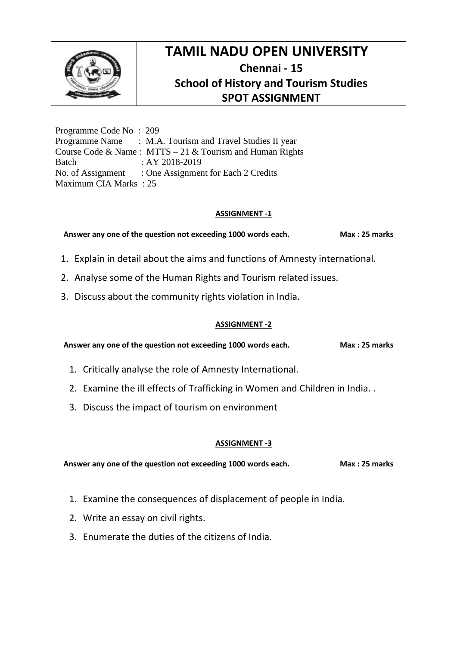

Programme Code No : 209 Programme Name : M.A. Tourism and Travel Studies II year Course Code & Name : MTTS – 21 & Tourism and Human Rights Batch : AY 2018-2019 No. of Assignment : One Assignment for Each 2 Credits Maximum CIA Marks : 25

#### **ASSIGNMENT -1**

**Answer any one of the question not exceeding 1000 words each. Max : 25 marks**

- 1. Explain in detail about the aims and functions of Amnesty international.
- 2. Analyse some of the Human Rights and Tourism related issues.
- 3. Discuss about the community rights violation in India.

#### **ASSIGNMENT -2**

**Answer any one of the question not exceeding 1000 words each. Max : 25 marks**

- 1. Critically analyse the role of Amnesty International.
- 2. Examine the ill effects of Trafficking in Women and Children in India. .
- 3. Discuss the impact of tourism on environment

#### **ASSIGNMENT -3**

- 1. Examine the consequences of displacement of people in India.
- 2. Write an essay on civil rights.
- 3. Enumerate the duties of the citizens of India.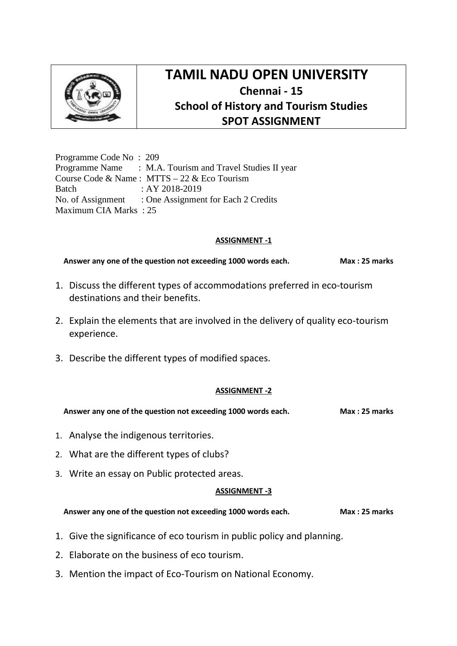

Programme Code No : 209 Programme Name : M.A. Tourism and Travel Studies II year Course Code & Name : MTTS – 22 & Eco Tourism Batch : AY 2018-2019 No. of Assignment : One Assignment for Each 2 Credits Maximum CIA Marks : 25

### **ASSIGNMENT -1**

**Answer any one of the question not exceeding 1000 words each. Max : 25 marks**

- 1. Discuss the different types of accommodations preferred in eco-tourism destinations and their benefits.
- 2. Explain the elements that are involved in the delivery of quality eco-tourism experience.
- 3. Describe the different types of modified spaces.

## **ASSIGNMENT -2**

**Answer any one of the question not exceeding 1000 words each. Max : 25 marks**

- 1. Analyse the indigenous territories.
- 2. What are the different types of clubs?
- 3. Write an essay on Public protected areas.

#### **ASSIGNMENT -3**

- 1. Give the significance of eco tourism in public policy and planning.
- 2. Elaborate on the business of eco tourism.
- 3. Mention the impact of Eco-Tourism on National Economy.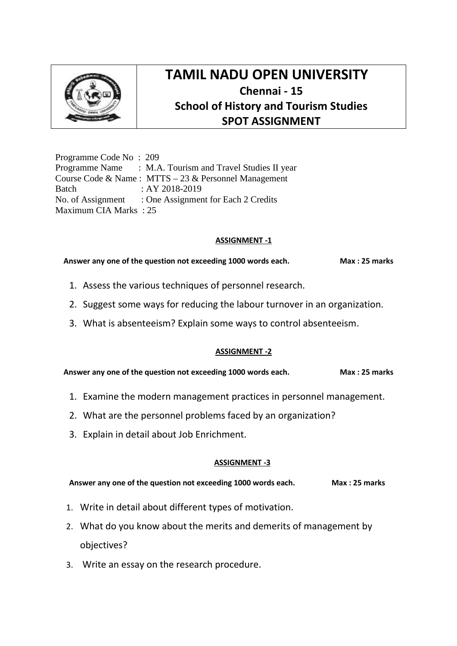

Programme Code No : 209 Programme Name : M.A. Tourism and Travel Studies II year Course Code & Name : MTTS – 23 & Personnel Management Batch : AY 2018-2019 No. of Assignment : One Assignment for Each 2 Credits Maximum CIA Marks : 25

### **ASSIGNMENT -1**

#### Answer any one of the question not exceeding 1000 words each. Max: 25 marks

- 1. Assess the various techniques of personnel research.
- 2. Suggest some ways for reducing the labour turnover in an organization.
- 3. What is absenteeism? Explain some ways to control absenteeism.

## **ASSIGNMENT -2**

**Answer any one of the question not exceeding 1000 words each. Max : 25 marks**

- 1. Examine the modern management practices in personnel management.
- 2. What are the personnel problems faced by an organization?
- 3. Explain in detail about Job Enrichment.

## **ASSIGNMENT -3**

- 1. Write in detail about different types of motivation.
- 2. What do you know about the merits and demerits of management by objectives?
- 3. Write an essay on the research procedure.